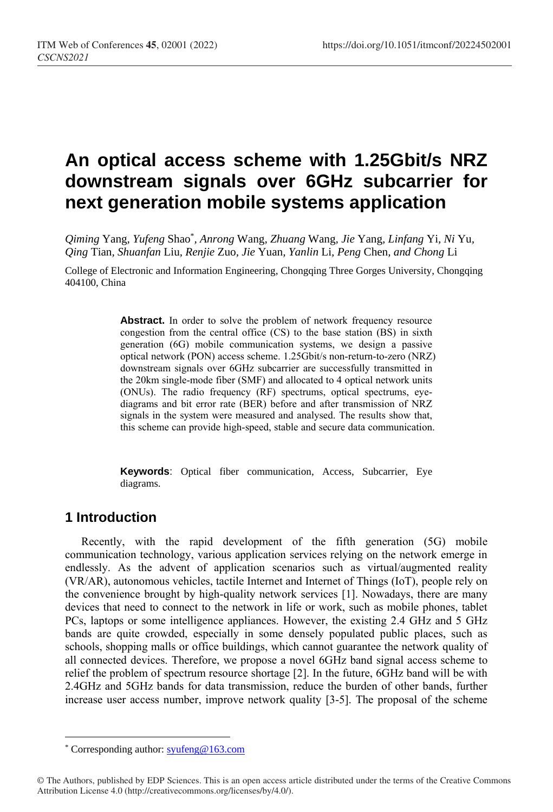# **An optical access scheme with 1.25Gbit/s NRZ downstream signals over 6GHz subcarrier for next generation mobile systems application**

*Qiming* Yang*, Yufeng* Shao\* *, Anrong* Wang*, Zhuang* Wang*, Jie* Yang*, Linfang* Yi*, Ni* Yu*, Qing* Tian*, Shuanfan* Liu*, Renjie* Zuo*, Jie* Yuan*, Yanlin* Li*, Peng* Chen*, and Chong* Li

College of Electronic and Information Engineering, Chongqing Three Gorges University, Chongqing 404100, China

> Abstract. In order to solve the problem of network frequency resource congestion from the central office (CS) to the base station (BS) in sixth generation (6G) mobile communication systems, we design a passive optical network (PON) access scheme. 1.25Gbit/s non-return-to-zero (NRZ) downstream signals over 6GHz subcarrier are successfully transmitted in the 20km single-mode fiber (SMF) and allocated to 4 optical network units (ONUs). The radio frequency (RF) spectrums, optical spectrums, eyediagrams and bit error rate (BER) before and after transmission of NRZ signals in the system were measured and analysed. The results show that, this scheme can provide high-speed, stable and secure data communication.

**Keywords**: Optical fiber communication, Access, Subcarrier, Eye diagrams.

## **1 Introduction**

 $\overline{a}$ 

Recently, with the rapid development of the fifth generation (5G) mobile communication technology, various application services relying on the network emerge in endlessly. As the advent of application scenarios such as virtual/augmented reality (VR/AR), autonomous vehicles, tactile Internet and Internet of Things (IoT), people rely on the convenience brought by high-quality network services [1]. Nowadays, there are many devices that need to connect to the network in life or work, such as mobile phones, tablet PCs, laptops or some intelligence appliances. However, the existing 2.4 GHz and 5 GHz bands are quite crowded, especially in some densely populated public places, such as schools, shopping malls or office buildings, which cannot guarantee the network quality of all connected devices. Therefore, we propose a novel 6GHz band signal access scheme to relief the problem of spectrum resource shortage [2]. In the future, 6GHz band will be with 2.4GHz and 5GHz bands for data transmission, reduce the burden of other bands, further increase user access number, improve network quality [3-5]. The proposal of the scheme

<sup>\*</sup> Corresponding author[: syufeng@163.com](mailto:syufeng@163.com)

<sup>©</sup> The Authors, published by EDP Sciences. This is an open access article distributed under the terms of the Creative Commons Attribution License 4.0 (http://creativecommons.org/licenses/by/4.0/).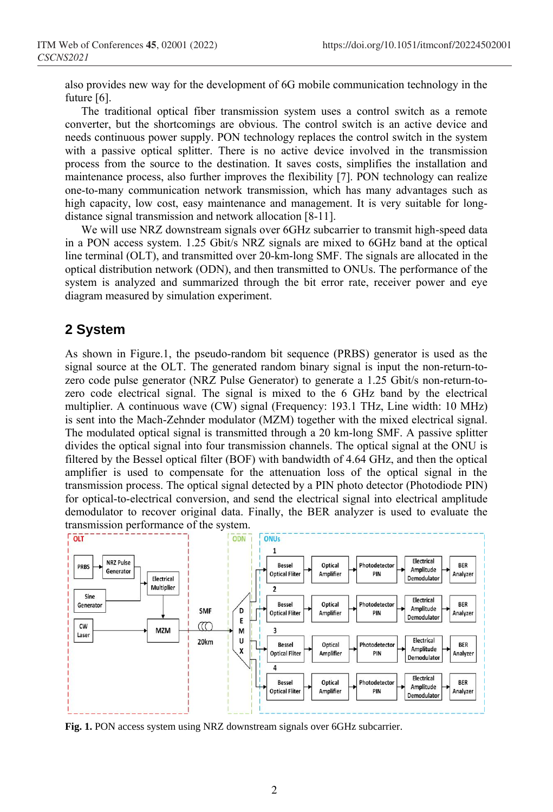also provides new way for the development of 6G mobile communication technology in the future [6].

The traditional optical fiber transmission system uses a control switch as a remote converter, but the shortcomings are obvious. The control switch is an active device and needs continuous power supply. PON technology replaces the control switch in the system with a passive optical splitter. There is no active device involved in the transmission process from the source to the destination. It saves costs, simplifies the installation and maintenance process, also further improves the flexibility [7]. PON technology can realize one-to-many communication network transmission, which has many advantages such as high capacity, low cost, easy maintenance and management. It is very suitable for longdistance signal transmission and network allocation [8-11].

We will use NRZ downstream signals over 6GHz subcarrier to transmit high-speed data in a PON access system. 1.25 Gbit/s NRZ signals are mixed to 6GHz band at the optical line terminal (OLT), and transmitted over 20-km-long SMF. The signals are allocated in the optical distribution network (ODN), and then transmitted to ONUs. The performance of the system is analyzed and summarized through the bit error rate, receiver power and eye diagram measured by simulation experiment.

#### **2 System**

As shown in Figure.1, the pseudo-random bit sequence (PRBS) generator is used as the signal source at the OLT. The generated random binary signal is input the non-return-tozero code pulse generator (NRZ Pulse Generator) to generate a 1.25 Gbit/s non-return-tozero code electrical signal. The signal is mixed to the 6 GHz band by the electrical multiplier. A continuous wave (CW) signal (Frequency: 193.1 THz, Line width: 10 MHz) is sent into the Mach-Zehnder modulator (MZM) together with the mixed electrical signal. The modulated optical signal is transmitted through a 20 km-long SMF. A passive splitter divides the optical signal into four transmission channels. The optical signal at the ONU is filtered by the Bessel optical filter (BOF) with bandwidth of 4.64 GHz, and then the optical amplifier is used to compensate for the attenuation loss of the optical signal in the transmission process. The optical signal detected by a PIN photo detector (Photodiode PIN) for optical-to-electrical conversion, and send the electrical signal into electrical amplitude demodulator to recover original data. Finally, the BER analyzer is used to evaluate the transmission performance of the system.



**Fig. 1.** PON access system using NRZ downstream signals over 6GHz subcarrier.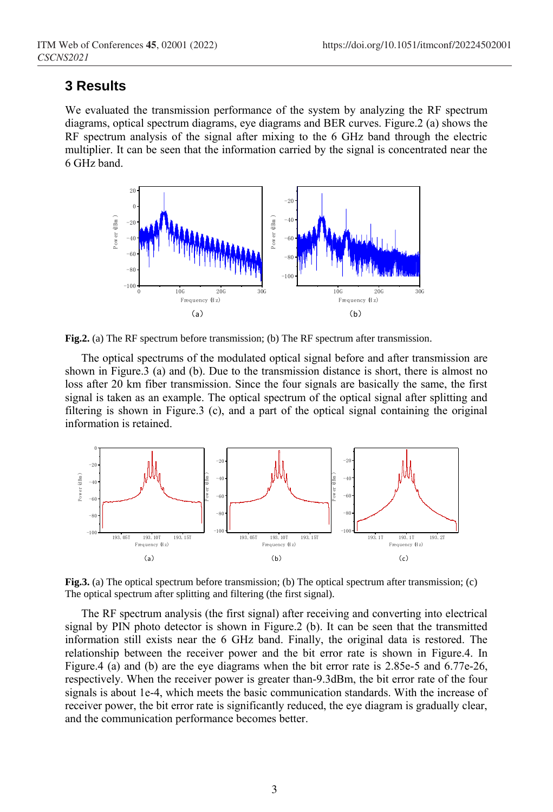#### **3 Results**

We evaluated the transmission performance of the system by analyzing the RF spectrum diagrams, optical spectrum diagrams, eye diagrams and BER curves. Figure.2 (a) shows the RF spectrum analysis of the signal after mixing to the 6 GHz band through the electric multiplier. It can be seen that the information carried by the signal is concentrated near the 6 GHz band.



**Fig.2.** (a) The RF spectrum before transmission; (b) The RF spectrum after transmission.

The optical spectrums of the modulated optical signal before and after transmission are shown in Figure.3 (a) and (b). Due to the transmission distance is short, there is almost no loss after 20 km fiber transmission. Since the four signals are basically the same, the first signal is taken as an example. The optical spectrum of the optical signal after splitting and filtering is shown in Figure.3 (c), and a part of the optical signal containing the original information is retained.



**Fig.3.** (a) The optical spectrum before transmission; (b) The optical spectrum after transmission; (c) The optical spectrum after splitting and filtering (the first signal).

The RF spectrum analysis (the first signal) after receiving and converting into electrical signal by PIN photo detector is shown in Figure.2 (b). It can be seen that the transmitted information still exists near the 6 GHz band. Finally, the original data is restored. The relationship between the receiver power and the bit error rate is shown in Figure.4. In Figure.4 (a) and (b) are the eye diagrams when the bit error rate is 2.85e-5 and 6.77e-26, respectively. When the receiver power is greater than-9.3dBm, the bit error rate of the four signals is about 1e-4, which meets the basic communication standards. With the increase of receiver power, the bit error rate is significantly reduced, the eye diagram is gradually clear, and the communication performance becomes better.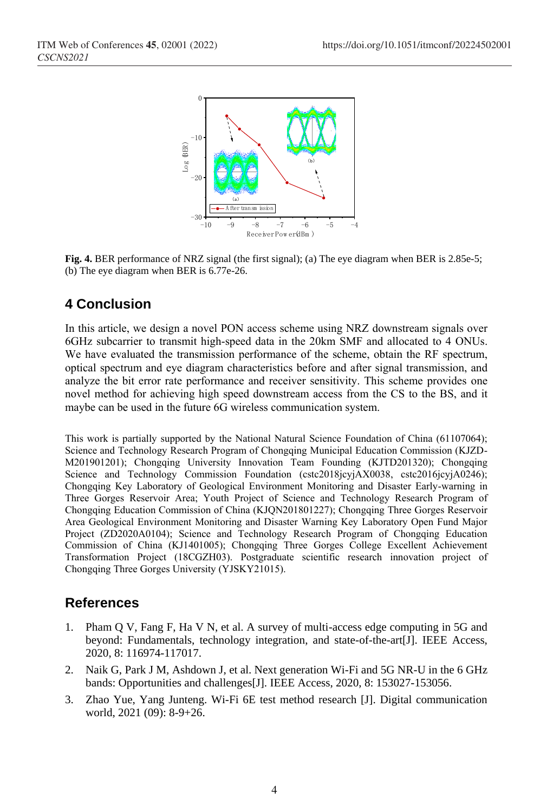

**Fig. 4.** BER performance of NRZ signal (the first signal); (a) The eye diagram when BER is 2.85e-5; (b) The eye diagram when BER is 6.77e-26.

# **4 Conclusion**

In this article, we design a novel PON access scheme using NRZ downstream signals over 6GHz subcarrier to transmit high-speed data in the 20km SMF and allocated to 4 ONUs. We have evaluated the transmission performance of the scheme, obtain the RF spectrum, optical spectrum and eye diagram characteristics before and after signal transmission, and analyze the bit error rate performance and receiver sensitivity. This scheme provides one novel method for achieving high speed downstream access from the CS to the BS, and it maybe can be used in the future 6G wireless communication system.

This work is partially supported by the National Natural Science Foundation of China (61107064); Science and Technology Research Program of Chongqing Municipal Education Commission (KJZD-M201901201); Chongqing University Innovation Team Founding (KJTD201320); Chongqing Science and Technology Commission Foundation (cstc2018jcyjAX0038, cstc2016jcyjA0246); Chongqing Key Laboratory of Geological Environment Monitoring and Disaster Early-warning in Three Gorges Reservoir Area; Youth Project of Science and Technology Research Program of Chongqing Education Commission of China (KJQN201801227); Chongqing Three Gorges Reservoir Area Geological Environment Monitoring and Disaster Warning Key Laboratory Open Fund Major Project (ZD2020A0104); Science and Technology Research Program of Chongqing Education Commission of China (KJ1401005); Chongqing Three Gorges College Excellent Achievement Transformation Project (18CGZH03). Postgraduate scientific research innovation project of Chongqing Three Gorges University (YJSKY21015).

## **References**

- 1. Pham Q V, Fang F, Ha V N, et al. A survey of multi-access edge computing in 5G and beyond: Fundamentals, technology integration, and state-of-the-art[J]. IEEE Access, 2020, 8: 116974-117017.
- 2. Naik G, Park J M, Ashdown J, et al. Next generation Wi-Fi and 5G NR-U in the 6 GHz bands: Opportunities and challenges[J]. IEEE Access, 2020, 8: 153027-153056.
- 3. Zhao Yue, Yang Junteng. Wi-Fi 6E test method research [J]. Digital communication world, 2021 (09): 8-9+26.